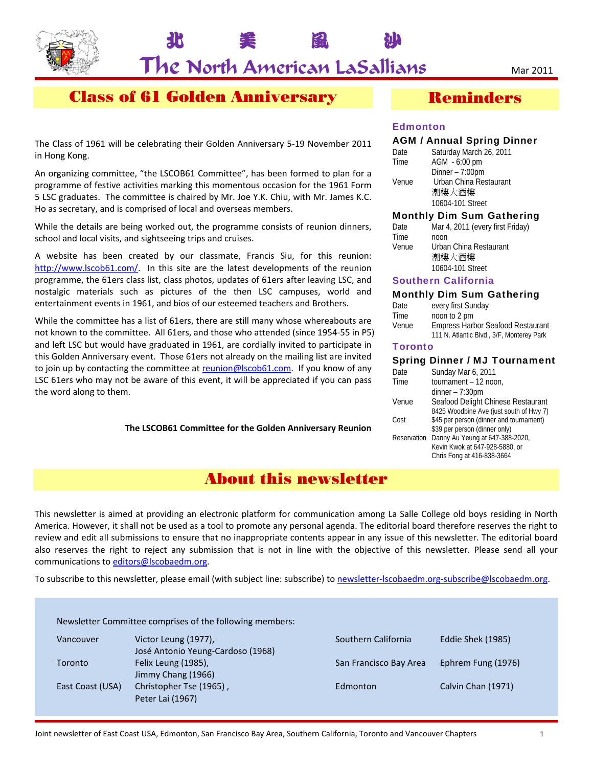

北 美 風 沙

# Class of 61 Golden Anniversary

The Class of 1961 will be celebrating their Golden Anniversary 5‐19 November 2011 in Hong Kong.

An organizing committee, "the LSCOB61 Committee", has been formed to plan for a programme of festive activities marking this momentous occasion for the 1961 Form 5 LSC graduates. The committee is chaired by Mr. Joe Y.K. Chiu, with Mr. James K.C. Ho as secretary, and is comprised of local and overseas members.

While the details are being worked out, the programme consists of reunion dinners, school and local visits, and sightseeing trips and cruises.

A website has been created by our classmate, Francis Siu, for this reunion: http://www.lscob61.com/. In this site are the latest developments of the reunion programme, the 61ers class list, class photos, updates of 61ers after leaving LSC, and nostalgic materials such as pictures of the then LSC campuses, world and entertainment events in 1961, and bios of our esteemed teachers and Brothers.

While the committee has a list of 61ers, there are still many whose whereabouts are not known to the committee. All 61ers, and those who attended (since 1954‐55 in P5) and left LSC but would have graduated in 1961, are cordially invited to participate in this Golden Anniversary event. Those 61ers not already on the mailing list are invited to join up by contacting the committee at reunion@lscob61.com. If you know of any LSC 61ers who may not be aware of this event, it will be appreciated if you can pass the word along to them.

**The LSCOB61 Committee for the Golden Anniversary Reunion**

### Reminders

#### Edmonton

#### AGM / Annual Spring Dinner

| Date  | Saturday March 26, 2011 |
|-------|-------------------------|
| Time  | AGM - 6:00 pm           |
|       | Dinner $-7:00$ pm       |
| Venue | Urban China Restaurant  |
|       | 潮樓大酒樓                   |
|       | 10604-101 Street        |

#### Monthly Dim Sum Gathering

| Date  | Mar 4, 2011 (every first Friday) |
|-------|----------------------------------|
| Time  | noon                             |
| Venue | Urban China Restaurant           |
|       | 潮樓大酒樓                            |
|       | 10604-101 Street                 |

#### Southern California

#### Monthly Dim Sum Gathering

| Date  | every first Sunday                        |
|-------|-------------------------------------------|
| Time  | noon to 2 pm                              |
| Venue | <b>Empress Harbor Seafood Restaurant</b>  |
|       | 111 N. Atlantic Blvd., 3/F, Monterey Park |

#### **Toronto**

#### Spring Dinner / MJ Tournament

| Date        | Sunday Mar 6, 2011                      |
|-------------|-----------------------------------------|
| Time        | tournament - 12 noon,                   |
|             | $dinner - 7:30pm$                       |
| Venue       | Seafood Delight Chinese Restaurant      |
|             | 8425 Woodbine Ave (just south of Hwy 7) |
| Cost        | \$45 per person (dinner and tournament) |
|             | \$39 per person (dinner only)           |
| Reservation | Danny Au Yeung at 647-388-2020,         |
|             | Kevin Kwok at 647-928-5880, or          |
|             | Chris Fong at 416-838-3664              |
|             |                                         |

# About this newsletter

This newsletter is aimed at providing an electronic platform for communication among La Salle College old boys residing in North America. However, it shall not be used as a tool to promote any personal agenda. The editorial board therefore reserves the right to review and edit all submissions to ensure that no inappropriate contents appear in any issue of this newsletter. The editorial board also reserves the right to reject any submission that is not in line with the objective of this newsletter. Please send all your communications to editors@lscobaedm.org.

To subscribe to this newsletter, please email (with subject line: subscribe) to newsletter-lscobaedm.org-subscribe@lscobaedm.org.

Newsletter Committee comprises of the following members:

| Vancouver        | Victor Leung (1977),              |
|------------------|-----------------------------------|
|                  | José Antonio Yeung-Cardoso (1968) |
| Toronto          | Felix Leung (1985),               |
|                  | Jimmy Chang (1966)                |
| East Coast (USA) | Christopher Tse (1965),           |
|                  | Peter Lai (1967)                  |

Southern California Eddie Shek (1985) San Francisco Bay Area Ephrem Fung (1976) Edmonton Calvin Chan (1971)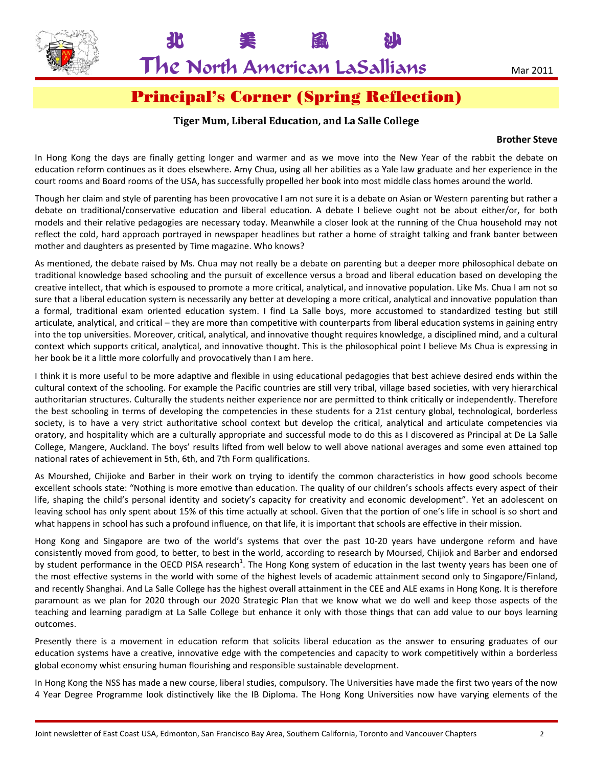

北 美 風 沙

# Principal's Corner (Spring Reflection)

#### **Tiger Mum, Liberal Education, and La Salle College**

#### **Brother Steve**

In Hong Kong the days are finally getting longer and warmer and as we move into the New Year of the rabbit the debate on education reform continues as it does elsewhere. Amy Chua, using all her abilities as a Yale law graduate and her experience in the court rooms and Board rooms of the USA, has successfully propelled her book into most middle class homes around the world.

Though her claim and style of parenting has been provocative I am not sure it is a debate on Asian or Western parenting but rather a debate on traditional/conservative education and liberal education. A debate I believe ought not be about either/or, for both models and their relative pedagogies are necessary today. Meanwhile a closer look at the running of the Chua household may not reflect the cold, hard approach portrayed in newspaper headlines but rather a home of straight talking and frank banter between mother and daughters as presented by Time magazine. Who knows?

As mentioned, the debate raised by Ms. Chua may not really be a debate on parenting but a deeper more philosophical debate on traditional knowledge based schooling and the pursuit of excellence versus a broad and liberal education based on developing the creative intellect, that which is espoused to promote a more critical, analytical, and innovative population. Like Ms. Chua I am not so sure that a liberal education system is necessarily any better at developing a more critical, analytical and innovative population than a formal, traditional exam oriented education system. I find La Salle boys, more accustomed to standardized testing but still articulate, analytical, and critical – they are more than competitive with counterparts from liberal education systems in gaining entry into the top universities. Moreover, critical, analytical, and innovative thought requires knowledge, a disciplined mind, and a cultural context which supports critical, analytical, and innovative thought. This is the philosophical point I believe Ms Chua is expressing in her book be it a little more colorfully and provocatively than I am here.

I think it is more useful to be more adaptive and flexible in using educational pedagogies that best achieve desired ends within the cultural context of the schooling. For example the Pacific countries are still very tribal, village based societies, with very hierarchical authoritarian structures. Culturally the students neither experience nor are permitted to think critically or independently. Therefore the best schooling in terms of developing the competencies in these students for a 21st century global, technological, borderless society, is to have a very strict authoritative school context but develop the critical, analytical and articulate competencies via oratory, and hospitality which are a culturally appropriate and successful mode to do this as I discovered as Principal at De La Salle College, Mangere, Auckland. The boys' results lifted from well below to well above national averages and some even attained top national rates of achievement in 5th, 6th, and 7th Form qualifications.

As Mourshed, Chijioke and Barber in their work on trying to identify the common characteristics in how good schools become excellent schools state: "Nothing is more emotive than education. The quality of our children's schools affects every aspect of their life, shaping the child's personal identity and society's capacity for creativity and economic development". Yet an adolescent on leaving school has only spent about 15% of this time actually at school. Given that the portion of one's life in school is so short and what happens in school has such a profound influence, on that life, it is important that schools are effective in their mission.

Hong Kong and Singapore are two of the world's systems that over the past 10‐20 years have undergone reform and have consistently moved from good, to better, to best in the world, according to research by Moursed, Chijiok and Barber and endorsed by student performance in the OECD PISA research<sup>1</sup>. The Hong Kong system of education in the last twenty years has been one of the most effective systems in the world with some of the highest levels of academic attainment second only to Singapore/Finland, and recently Shanghai. And La Salle College has the highest overall attainment in the CEE and ALE exams in Hong Kong. It is therefore paramount as we plan for 2020 through our 2020 Strategic Plan that we know what we do well and keep those aspects of the teaching and learning paradigm at La Salle College but enhance it only with those things that can add value to our boys learning outcomes.

Presently there is a movement in education reform that solicits liberal education as the answer to ensuring graduates of our education systems have a creative, innovative edge with the competencies and capacity to work competitively within a borderless global economy whist ensuring human flourishing and responsible sustainable development.

In Hong Kong the NSS has made a new course, liberal studies, compulsory. The Universities have made the first two years of the now 4 Year Degree Programme look distinctively like the IB Diploma. The Hong Kong Universities now have varying elements of the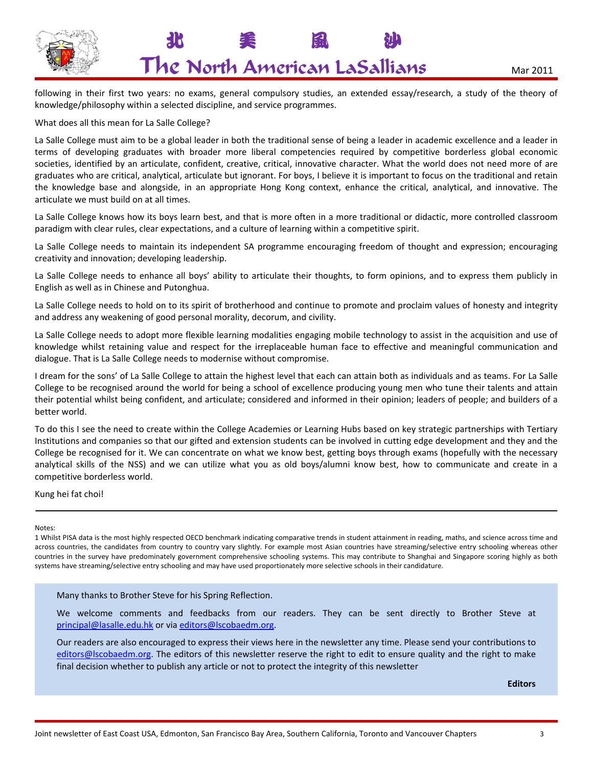

北 美 風 沙

following in their first two years: no exams, general compulsory studies, an extended essay/research, a study of the theory of knowledge/philosophy within a selected discipline, and service programmes.

What does all this mean for La Salle College?

La Salle College must aim to be a global leader in both the traditional sense of being a leader in academic excellence and a leader in terms of developing graduates with broader more liberal competencies required by competitive borderless global economic societies, identified by an articulate, confident, creative, critical, innovative character. What the world does not need more of are graduates who are critical, analytical, articulate but ignorant. For boys, I believe it is important to focus on the traditional and retain the knowledge base and alongside, in an appropriate Hong Kong context, enhance the critical, analytical, and innovative. The articulate we must build on at all times.

La Salle College knows how its boys learn best, and that is more often in a more traditional or didactic, more controlled classroom paradigm with clear rules, clear expectations, and a culture of learning within a competitive spirit.

La Salle College needs to maintain its independent SA programme encouraging freedom of thought and expression; encouraging creativity and innovation; developing leadership.

La Salle College needs to enhance all boys' ability to articulate their thoughts, to form opinions, and to express them publicly in English as well as in Chinese and Putonghua.

La Salle College needs to hold on to its spirit of brotherhood and continue to promote and proclaim values of honesty and integrity and address any weakening of good personal morality, decorum, and civility.

La Salle College needs to adopt more flexible learning modalities engaging mobile technology to assist in the acquisition and use of knowledge whilst retaining value and respect for the irreplaceable human face to effective and meaningful communication and dialogue. That is La Salle College needs to modernise without compromise.

I dream for the sons' of La Salle College to attain the highest level that each can attain both as individuals and as teams. For La Salle College to be recognised around the world for being a school of excellence producing young men who tune their talents and attain their potential whilst being confident, and articulate; considered and informed in their opinion; leaders of people; and builders of a better world.

To do this I see the need to create within the College Academies or Learning Hubs based on key strategic partnerships with Tertiary Institutions and companies so that our gifted and extension students can be involved in cutting edge development and they and the College be recognised for it. We can concentrate on what we know best, getting boys through exams (hopefully with the necessary analytical skills of the NSS) and we can utilize what you as old boys/alumni know best, how to communicate and create in a competitive borderless world.

Kung hei fat choi!

Notes:

1 Whilst PISA data is the most highly respected OECD benchmark indicating comparative trends in student attainment in reading, maths, and science across time and across countries, the candidates from country to country vary slightly. For example most Asian countries have streaming/selective entry schooling whereas other countries in the survey have predominately government comprehensive schooling systems. This may contribute to Shanghai and Singapore scoring highly as both systems have streaming/selective entry schooling and may have used proportionately more selective schools in their candidature.

Many thanks to Brother Steve for his Spring Reflection.

We welcome comments and feedbacks from our readers. They can be sent directly to Brother Steve at principal@lasalle.edu.hk or via editors@lscobaedm.org.

Our readers are also encouraged to express their views here in the newsletter any time. Please send your contributions to editors@lscobaedm.org. The editors of this newsletter reserve the right to edit to ensure quality and the right to make final decision whether to publish any article or not to protect the integrity of this newsletter

**Editors**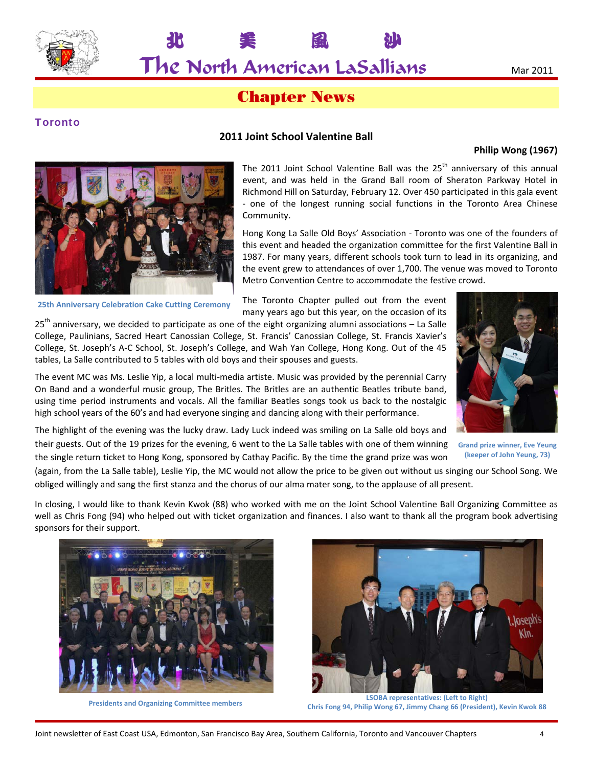

 $\mathsf{The}$  North American LaSallians  $\blacksquare$   $\blacksquare$   $\blacksquare$   $\blacksquare$   $\blacksquare$   $\blacksquare$   $\blacksquare$   $\blacksquare$   $\blacksquare$   $\blacksquare$   $\blacksquare$   $\blacksquare$   $\blacksquare$   $\blacksquare$   $\blacksquare$   $\blacksquare$   $\blacksquare$   $\blacksquare$   $\blacksquare$   $\blacksquare$   $\blacksquare$   $\blacksquare$   $\blacksquare$   $\blacksquare$   $\blacksquare$   $\blacksquare$   $\blacks$ 

北 美 風 沙

# Chapter News

#### **Toronto**

#### **2011 Joint School Valentine Ball**

#### **Philip Wong (1967)**



**25th Anniversary Celebration Cake Cutting Ceremony**

The 2011 Joint School Valentine Ball was the  $25<sup>th</sup>$  anniversary of this annual event, and was held in the Grand Ball room of Sheraton Parkway Hotel in Richmond Hill on Saturday, February 12. Over 450 participated in this gala event ‐ one of the longest running social functions in the Toronto Area Chinese Community.

Hong Kong La Salle Old Boys' Association ‐ Toronto was one of the founders of this event and headed the organization committee for the first Valentine Ball in 1987. For many years, different schools took turn to lead in its organizing, and the event grew to attendances of over 1,700. The venue was moved to Toronto Metro Convention Centre to accommodate the festive crowd.

The Toronto Chapter pulled out from the event many years ago but this year, on the occasion of its

 $25<sup>th</sup>$  anniversary, we decided to participate as one of the eight organizing alumni associations – La Salle College, Paulinians, Sacred Heart Canossian College, St. Francis' Canossian College, St. Francis Xavier's College, St. Joseph's A‐C School, St. Joseph's College, and Wah Yan College, Hong Kong. Out of the 45 tables, La Salle contributed to 5 tables with old boys and their spouses and guests.



On Band and a wonderful music group, The Britles. The Britles are an authentic Beatles tribute band, using time period instruments and vocals. All the familiar Beatles songs took us back to the nostalgic high school years of the 60's and had everyone singing and dancing along with their performance. The highlight of the evening was the lucky draw. Lady Luck indeed was smiling on La Salle old boys and

The event MC was Ms. Leslie Yip, a local multi‐media artiste. Music was provided by the perennial Carry

their guests. Out of the 19 prizes for the evening, 6 went to the La Salle tables with one of them winning the single return ticket to Hong Kong, sponsored by Cathay Pacific. By the time the grand prize was won

**Grand prize winner, Eve Yeung (keeper of John Yeung, 73)**

(again, from the La Salle table), Leslie Yip, the MC would not allow the price to be given out without us singing our School Song. We obliged willingly and sang the first stanza and the chorus of our alma mater song, to the applause of all present.

In closing, I would like to thank Kevin Kwok (88) who worked with me on the Joint School Valentine Ball Organizing Committee as well as Chris Fong (94) who helped out with ticket organization and finances. I also want to thank all the program book advertising sponsors for their support.



**Presidents and Organizing Committee members**



**LSOBA representatives: (Left to Right) Chris Fong 94, Philip Wong 67, Jimmy Chang 66 (President), Kevin Kwok 88**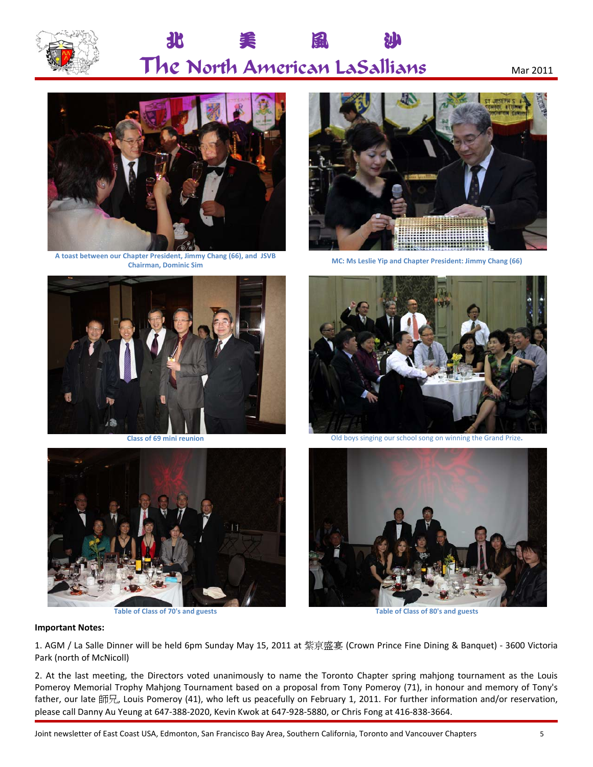

# 北 美 風 沙  $\Gamma$ he North American LaSallians  $_{\text{Mar 2011}}$



**A toast between our Chapter President, Jimmy Chang (66), and JSVB Chairman, Dominic Sim MC: Ms Leslie Yip and Chapter President: Jimmy Chang (66)**









**Class of 69 mini reunion** Old boys singing our school song on winning the Grand Prize**.**



**Table of Class of 70's and guests Table of Class of 80's and guests**

#### **Important Notes:**

1. AGM / La Salle Dinner will be held 6pm Sunday May 15, 2011 at 紫京盛宴 (Crown Prince Fine Dining & Banquet) ‐ 3600 Victoria Park (north of McNicoll)

2. At the last meeting, the Directors voted unanimously to name the Toronto Chapter spring mahjong tournament as the Louis Pomeroy Memorial Trophy Mahjong Tournament based on a proposal from Tony Pomeroy (71), in honour and memory of Tony's father, our late 師兄, Louis Pomeroy (41), who left us peacefully on February 1, 2011. For further information and/or reservation, please call Danny Au Yeung at 647‐388‐2020, Kevin Kwok at 647‐928‐5880, or Chris Fong at 416‐838‐3664.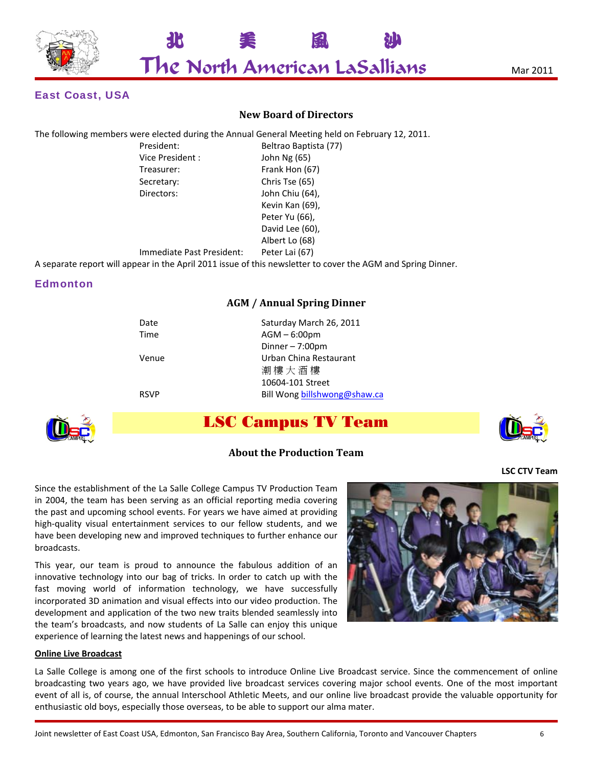

### East Coast, USA

#### **New Board of Directors**

The following members were elected during the Annual General Meeting held on February 12, 2011.

| President:      |
|-----------------|
| Vice President: |
| Treasurer:      |
| Secretary:      |
| Directors:      |
|                 |

Beltrao Baptista (77) John Ng (65) Frank Hon (67) Chris Tse (65) John Chiu (64), Kevin Kan (69), Peter Yu (66), David Lee (60), Albert Lo (68)

Immediate Past President: Peter Lai (67)

A separate report will appear in the April 2011 issue of this newsletter to cover the AGM and Spring Dinner.

#### **Edmonton**

#### **AGM / Annual Spring Dinner**

| Date        | Saturday March 26, 2011      |
|-------------|------------------------------|
| Time        | $AGM - 6:00pm$               |
|             | Dinner $-7:00$ pm            |
| Venue       | Urban China Restaurant       |
|             | 潮樓大酒樓                        |
|             | 10604-101 Street             |
| <b>RSVP</b> | Bill Wong billshwong@shaw.ca |
|             |                              |



## LSC Campus TV Team



#### **About the Production Team**

**LSC CTV Team**

Since the establishment of the La Salle College Campus TV Production Team in 2004, the team has been serving as an official reporting media covering the past and upcoming school events. For years we have aimed at providing high-quality visual entertainment services to our fellow students, and we have been developing new and improved techniques to further enhance our broadcasts.

This year, our team is proud to announce the fabulous addition of an innovative technology into our bag of tricks. In order to catch up with the fast moving world of information technology, we have successfully incorporated 3D animation and visual effects into our video production. The development and application of the two new traits blended seamlessly into the team's broadcasts, and now students of La Salle can enjoy this unique experience of learning the latest news and happenings of our school.

#### **Online Live Broadcast**

La Salle College is among one of the first schools to introduce Online Live Broadcast service. Since the commencement of online broadcasting two years ago, we have provided live broadcast services covering major school events. One of the most important event of all is, of course, the annual Interschool Athletic Meets, and our online live broadcast provide the valuable opportunity for enthusiastic old boys, especially those overseas, to be able to support our alma mater.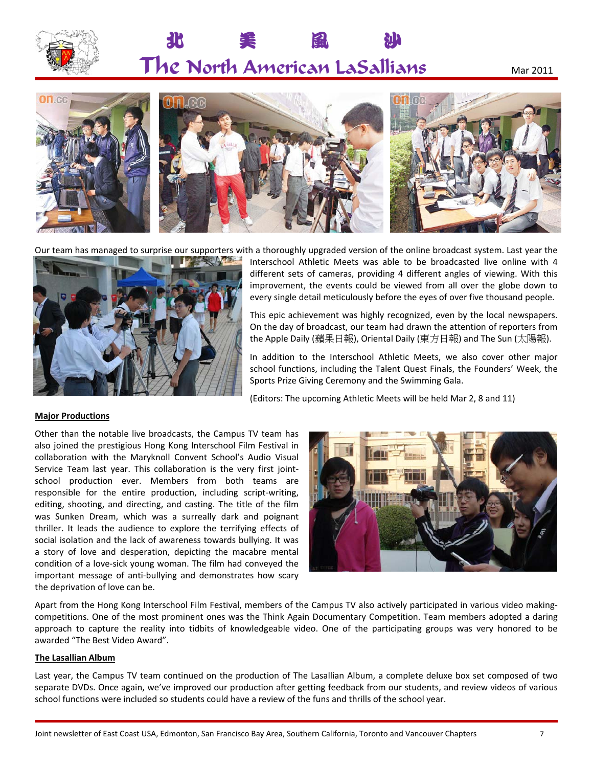

# 北 美 風 沙  $\Gamma$ he North American LaSallians  $_{\text{Mar 2011}}$



Our team has managed to surprise our supporters with a thoroughly upgraded version of the online broadcast system. Last year the



Interschool Athletic Meets was able to be broadcasted live online with 4 different sets of cameras, providing 4 different angles of viewing. With this improvement, the events could be viewed from all over the globe down to every single detail meticulously before the eyes of over five thousand people.

This epic achievement was highly recognized, even by the local newspapers. On the day of broadcast, our team had drawn the attention of reporters from the Apple Daily (蘋果日報), Oriental Daily (東方日報) and The Sun (太陽報).

In addition to the Interschool Athletic Meets, we also cover other major school functions, including the Talent Quest Finals, the Founders' Week, the Sports Prize Giving Ceremony and the Swimming Gala.

(Editors: The upcoming Athletic Meets will be held Mar 2, 8 and 11)

#### **Major Productions**

Other than the notable live broadcasts, the Campus TV team has also joined the prestigious Hong Kong Interschool Film Festival in collaboration with the Maryknoll Convent School's Audio Visual Service Team last year. This collaboration is the very first joint‐ school production ever. Members from both teams are responsible for the entire production, including script‐writing, editing, shooting, and directing, and casting. The title of the film was Sunken Dream, which was a surreally dark and poignant thriller. It leads the audience to explore the terrifying effects of social isolation and the lack of awareness towards bullying. It was a story of love and desperation, depicting the macabre mental condition of a love-sick young woman. The film had conveyed the important message of anti-bullying and demonstrates how scary the deprivation of love can be.



Apart from the Hong Kong Interschool Film Festival, members of the Campus TV also actively participated in various video making‐ competitions. One of the most prominent ones was the Think Again Documentary Competition. Team members adopted a daring approach to capture the reality into tidbits of knowledgeable video. One of the participating groups was very honored to be awarded "The Best Video Award".

#### **The Lasallian Album**

Last year, the Campus TV team continued on the production of The Lasallian Album, a complete deluxe box set composed of two separate DVDs. Once again, we've improved our production after getting feedback from our students, and review videos of various school functions were included so students could have a review of the funs and thrills of the school year.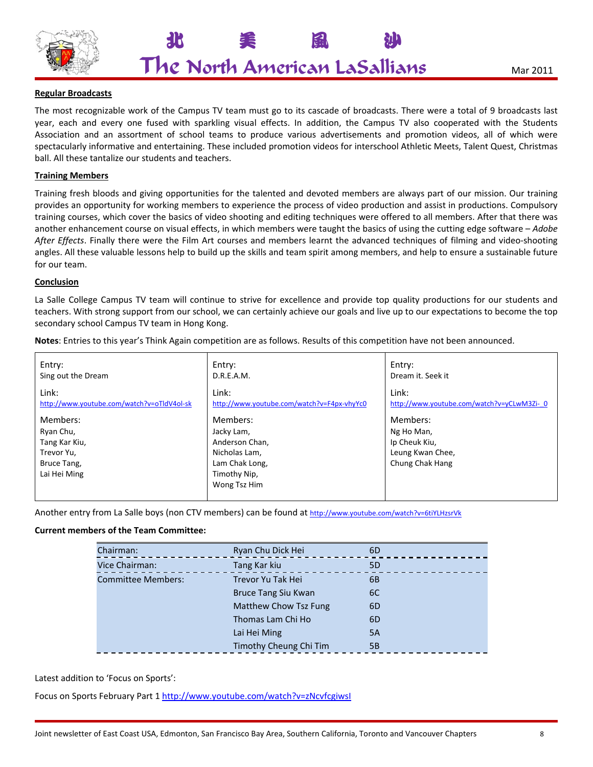

北 美 風 沙

#### **Regular Broadcasts**

The most recognizable work of the Campus TV team must go to its cascade of broadcasts. There were a total of 9 broadcasts last year, each and every one fused with sparkling visual effects. In addition, the Campus TV also cooperated with the Students Association and an assortment of school teams to produce various advertisements and promotion videos, all of which were spectacularly informative and entertaining. These included promotion videos for interschool Athletic Meets, Talent Quest, Christmas ball. All these tantalize our students and teachers.

#### **Training Members**

Training fresh bloods and giving opportunities for the talented and devoted members are always part of our mission. Our training provides an opportunity for working members to experience the process of video production and assist in productions. Compulsory training courses, which cover the basics of video shooting and editing techniques were offered to all members. After that there was another enhancement course on visual effects, in which members were taught the basics of using the cutting edge software – *Adobe After Effects*. Finally there were the Film Art courses and members learnt the advanced techniques of filming and video‐shooting angles. All these valuable lessons help to build up the skills and team spirit among members, and help to ensure a sustainable future for our team.

#### **Conclusion**

La Salle College Campus TV team will continue to strive for excellence and provide top quality productions for our students and teachers. With strong support from our school, we can certainly achieve our goals and live up to our expectations to become the top secondary school Campus TV team in Hong Kong.

**Notes**: Entries to this year's Think Again competition are as follows. Results of this competition have not been announced.

| Entry:                                                                              | Entry:                                                                                                      | Entry:                                                                         |
|-------------------------------------------------------------------------------------|-------------------------------------------------------------------------------------------------------------|--------------------------------------------------------------------------------|
| Sing out the Dream                                                                  | D.R.E.A.M.                                                                                                  | Dream it. Seek it                                                              |
| Link:                                                                               | Link:                                                                                                       | Link:                                                                          |
| http://www.youtube.com/watch?v=oTldV4ol-sk                                          | http://www.youtube.com/watch?v=F4px-vhyYc0                                                                  | http://www.youtube.com/watch?v=yCLwM3Zi-0                                      |
| Members:<br>Ryan Chu,<br>Tang Kar Kiu,<br>Trevor Yu,<br>Bruce Tang,<br>Lai Hei Ming | Members:<br>Jacky Lam,<br>Anderson Chan,<br>Nicholas Lam,<br>Lam Chak Long,<br>Timothy Nip,<br>Wong Tsz Him | Members:<br>Ng Ho Man,<br>Ip Cheuk Kiu,<br>Leung Kwan Chee,<br>Chung Chak Hang |

Another entry from La Salle boys (non CTV members) can be found at http://www.youtube.com/watch?v=6tiYLHzsrVk

#### **Current members of the Team Committee:**

| Chairman:                 | Ryan Chu Dick Hei      | 6D |  |
|---------------------------|------------------------|----|--|
| Vice Chairman:            | Tang Kar kiu           | 5D |  |
| <b>Committee Members:</b> | Trevor Yu Tak Hei      | 6B |  |
|                           | Bruce Tang Siu Kwan    | 6C |  |
|                           | Matthew Chow Tsz Fung  | 6D |  |
|                           | Thomas Lam Chi Ho      | 6D |  |
|                           | Lai Hei Ming           | 5A |  |
|                           | Timothy Cheung Chi Tim | 5Β |  |

Latest addition to 'Focus on Sports':

Focus on Sports February Part 1 http://www.youtube.com/watch?v=zNcvfcgiwsI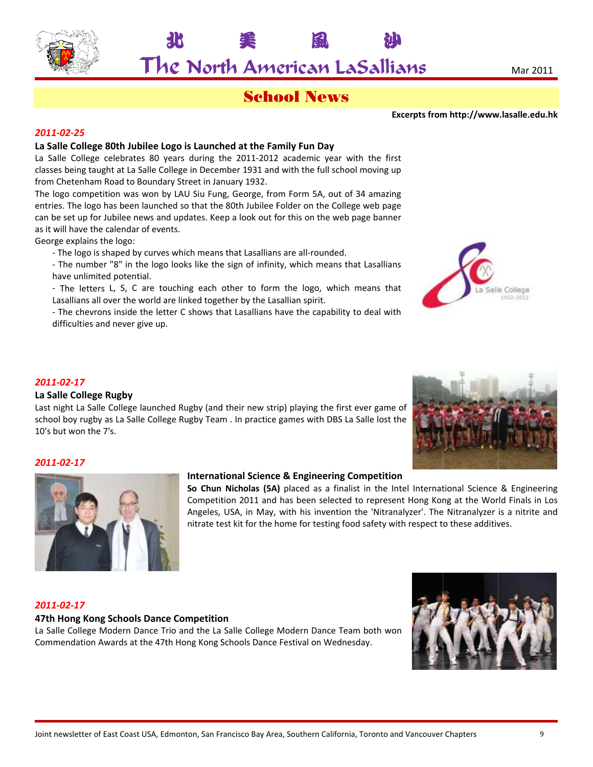

美

## School News

風

Ւ

**Excerpts from m http://www w.lasalle.edu.h k**

#### *2011 1‐02‐25*

#### La Salle College 80th Jubilee Logo is Launched at the Family Fun Day

**10** 

La Salle College celebrates 80 years during the 2011-2012 academic year with the first classes being taught at La Salle College in December 1931 and with the full school moving up from Chetenham Road to Boundary Street in January 1932.

The logo competition was won by LAU Siu Fung, George, from Form 5A, out of 34 amazing entries. The logo has been launched so that the 80th Jubilee Folder on the College web page can be set up for Jubilee news and updates. Keep a look out for this on the web page banner as it will have the calendar of events.

George explains the logo:

- The logo is shaped by curves which means that Lasallians are all-rounded.
- The number "8" in the logo looks like the sign of infinity, which means that Lasallians h have unlimited potential.
- The letters L, S, C are touching each other to form the logo, which means that Lasallians all over the world are linked together by the Lasallian spirit.

- The chevrons inside the letter C shows that Lasallians have the capability to deal with d difficulties and never give up .

#### *2011 1‐02‐17*

#### **La Sa alle College R Rugby**

Last night La Salle College launched Rugby (and their new strip) playing the first ever game of school boy rugby as La Salle College Rugby Team . In practice games with DBS La Salle lost the 10's b but won the 7's s.



Salle College 1932-201

#### *2011 1‐02‐17*



#### International Science & Engineering Competition

So Chun Nicholas (5A) placed as a finalist in the Intel International Science & Engineering So Chun Nicholas (5A) placed as a finalist in the Intel International Science & Engineering<br>Competition 2011 and has been selected to represent Hong Kong at the World Finals in Los Angeles, USA, in May, with his invention the 'Nitranalyzer'. The Nitranalyzer is a nitrite and nitrate test kit for the home for testing food safety with respect to these additives.

#### *2011 1‐02‐17*

#### **47th Hong Kong Schools Dance Competition**

La Salle College Modern Dance Trio and the La Salle College Modern Dance Team both won Commendation Awards at the 47th Hong Kong Schools Dance Festival on Wednesday.